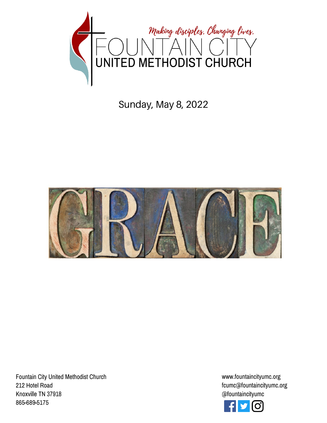

# Sunday, May 8, 2022



Fountain City United Methodist Church 212 Hotel Road Knoxville TN 37918 865-689-5175

www.fountaincityumc.org fcumc@fountaincityumc.org @fountaincityumc

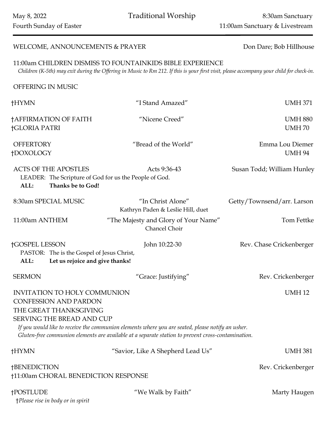May 8, 2022 Traditional Worship 8:30am Sanctuary Fourth Sunday of Easter 11:00am Sanctuary & Livestream

# WELCOME, ANNOUNCEMENTS & PRAYER Don Dare; Bob Hillhouse

11:00am CHILDREN DISMISS TO FOUNTAINKIDS BIBLE EXPERIENCE *Children (K-5th) may exit during the Offering in Music to Rm 212. If this is your first visit, please accompany your child for check-in.*

OFFERING IN MUSIC

| †HYMN                                                                                                                                                       | "I Stand Amazed"                                                                                                                                                                                        | <b>UMH 371</b>                   |
|-------------------------------------------------------------------------------------------------------------------------------------------------------------|---------------------------------------------------------------------------------------------------------------------------------------------------------------------------------------------------------|----------------------------------|
| †AFFIRMATION OF FAITH<br><b>†GLORIA PATRI</b>                                                                                                               | "Nicene Creed"                                                                                                                                                                                          | <b>UMH 880</b><br><b>UMH70</b>   |
| <b>OFFERTORY</b><br>†DOXOLOGY                                                                                                                               | "Bread of the World"                                                                                                                                                                                    | Emma Lou Diemer<br><b>UMH 94</b> |
| <b>ACTS OF THE APOSTLES</b><br>LEADER: The Scripture of God for us the People of God.<br>ALL:<br>Thanks be to God!                                          | Acts 9:36-43                                                                                                                                                                                            | Susan Todd; William Hunley       |
| 8:30am SPECIAL MUSIC                                                                                                                                        | "In Christ Alone"<br>Kathryn Paden & Leslie Hill, duet                                                                                                                                                  | Getty/Townsend/arr. Larson       |
| 11:00am ANTHEM                                                                                                                                              | "The Majesty and Glory of Your Name"<br>Chancel Choir                                                                                                                                                   | Tom Fettke                       |
| <b>†GOSPEL LESSON</b><br>John 10:22-30<br>Rev. Chase Crickenberger<br>PASTOR: The is the Gospel of Jesus Christ,<br>Let us rejoice and give thanks!<br>ALL: |                                                                                                                                                                                                         |                                  |
| <b>SERMON</b>                                                                                                                                               | "Grace: Justifying"                                                                                                                                                                                     | Rev. Crickenberger               |
| <b>INVITATION TO HOLY COMMUNION</b><br><b>CONFESSION AND PARDON</b><br>THE GREAT THANKSGIVING<br>SERVING THE BREAD AND CUP                                  | If you would like to receive the communion elements where you are seated, please notify an usher.<br>Gluten-free communion elements are available at a separate station to prevent cross-contamination. | <b>UMH12</b>                     |
| †HYMN                                                                                                                                                       | "Savior, Like A Shepherd Lead Us"                                                                                                                                                                       | <b>UMH 381</b>                   |
| <b>†BENEDICTION</b><br>†11:00am CHORAL BENEDICTION RESPONSE                                                                                                 |                                                                                                                                                                                                         | Rev. Crickenberger               |
| <b>†POSTLUDE</b><br>†Please rise in body or in spirit                                                                                                       | "We Walk by Faith"                                                                                                                                                                                      | Marty Haugen                     |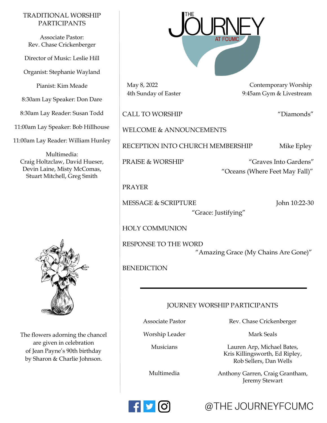#### TRADITIONAL WORSHIP PARTICIPANTS

Associate Pastor: Rev. Chase Crickenberger

Director of Music: Leslie Hill

Organist: Stephanie Wayland

Pianist: Kim Meade

8:30am Lay Speaker: Don Dare

8:30am Lay Reader: Susan Todd

11:00am Lay Speaker: Bob Hillhouse

11:00am Lay Reader: William Hunley

Multimedia: Craig Holtzclaw, David Hueser, Devin Laine, Misty McComas, Stuart Mitchell, Greg Smith



The flowers adorning the chancel are given in celebration of Jean Payne's 90th birthday by Sharon & Charlie Johnson.



May 8, 2022 Contemporary Worship 4th Sunday of Easter 9:45am Gym & Livestream

CALL TO WORSHIP "Diamonds"

WELCOME & ANNOUNCEMENTS

RECEPTION INTO CHURCH MEMBERSHIP Mike Epley

PRAISE & WORSHIP "Graves Into Gardens" "Oceans (Where Feet May Fall)"

#### PRAYER

MESSAGE & SCRIPTURE John 10:22-30

"Grace: Justifying"

HOLY COMMUNION

RESPONSE TO THE WORD "Amazing Grace (My Chains Are Gone)"

**BENEDICTION** 

## JOURNEY WORSHIP PARTICIPANTS

Associate Pastor

Worship Leader

Musicians

Lauren Arp, Michael Bates,

Multimedia

Rev. Chase Crickenberger Mark Seals

Kris Killingsworth, Ed Ripley, Rob Sellers, Dan Wells

Anthony Garren, Craig Grantham, Jeremy Stewart